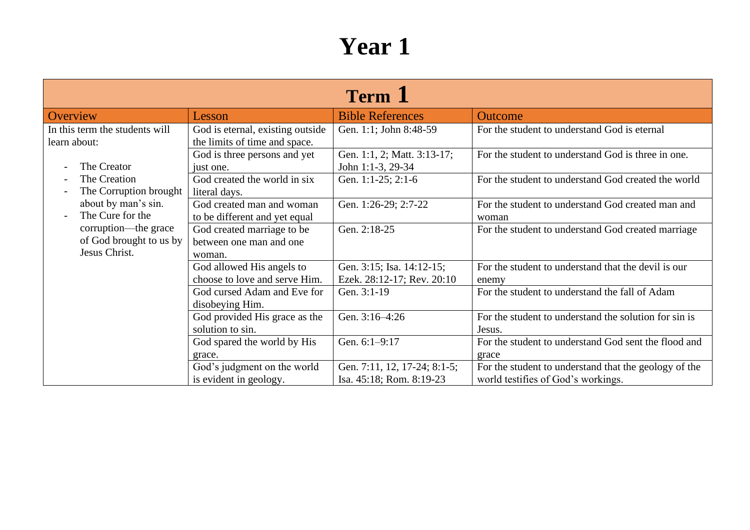| <b>Term 1</b>                                                    |                                                                   |                                                          |                                                                                             |  |
|------------------------------------------------------------------|-------------------------------------------------------------------|----------------------------------------------------------|---------------------------------------------------------------------------------------------|--|
| Overview                                                         | Lesson                                                            | <b>Bible References</b>                                  | <b>Outcome</b>                                                                              |  |
| In this term the students will<br>learn about:                   | God is eternal, existing outside<br>the limits of time and space. | Gen. 1:1; John 8:48-59                                   | For the student to understand God is eternal                                                |  |
| The Creator                                                      | God is three persons and yet<br>just one.                         | Gen. 1:1, 2; Matt. 3:13-17;<br>John 1:1-3, 29-34         | For the student to understand God is three in one.                                          |  |
| The Creation<br>The Corruption brought                           | God created the world in six<br>literal days.                     | Gen. 1:1-25; 2:1-6                                       | For the student to understand God created the world                                         |  |
| about by man's sin.<br>The Cure for the                          | God created man and woman<br>to be different and yet equal        | Gen. 1:26-29; 2:7-22                                     | For the student to understand God created man and<br>woman                                  |  |
| corruption—the grace<br>of God brought to us by<br>Jesus Christ. | God created marriage to be<br>between one man and one<br>woman.   | Gen. 2:18-25                                             | For the student to understand God created marriage                                          |  |
|                                                                  | God allowed His angels to<br>choose to love and serve Him.        | Gen. 3:15; Isa. 14:12-15;<br>Ezek. 28:12-17; Rev. 20:10  | For the student to understand that the devil is our<br>enemy                                |  |
|                                                                  | God cursed Adam and Eve for<br>disobeying Him.                    | Gen. 3:1-19                                              | For the student to understand the fall of Adam                                              |  |
|                                                                  | God provided His grace as the<br>solution to sin.                 | Gen. 3:16-4:26                                           | For the student to understand the solution for sin is<br>Jesus.                             |  |
|                                                                  | God spared the world by His<br>grace.                             | Gen. 6:1-9:17                                            | For the student to understand God sent the flood and<br>grace                               |  |
|                                                                  | God's judgment on the world<br>is evident in geology.             | Gen. 7:11, 12, 17-24; 8:1-5;<br>Isa. 45:18; Rom. 8:19-23 | For the student to understand that the geology of the<br>world testifies of God's workings. |  |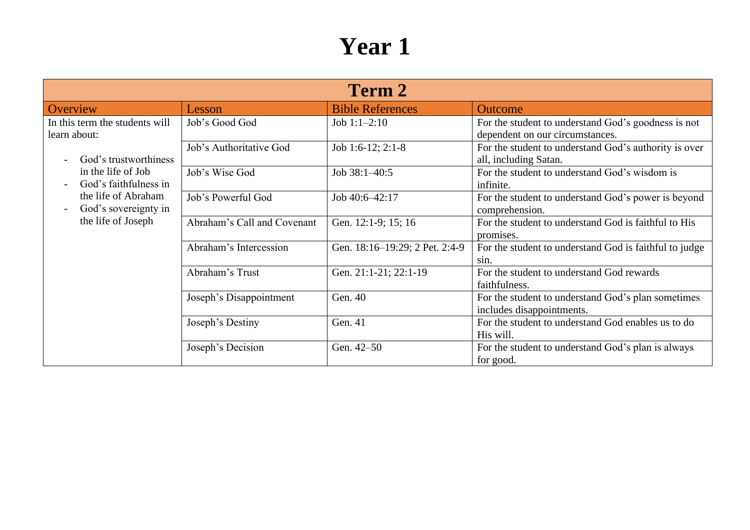| Term 2                                         |                             |                                |                                                                                        |  |
|------------------------------------------------|-----------------------------|--------------------------------|----------------------------------------------------------------------------------------|--|
| Overview                                       | Lesson                      | <b>Bible References</b>        | Outcome                                                                                |  |
| In this term the students will<br>learn about: | Job's Good God              | Job $1:1-2:10$                 | For the student to understand God's goodness is not<br>dependent on our circumstances. |  |
| God's trustworthiness                          | Job's Authoritative God     | Job 1:6-12; 2:1-8              | For the student to understand God's authority is over<br>all, including Satan.         |  |
| in the life of Job<br>God's faithfulness in    | Job's Wise God              | Job 38:1-40:5                  | For the student to understand God's wisdom is<br>infinite.                             |  |
| the life of Abraham<br>God's sovereignty in    | Job's Powerful God          | Job 40:6-42:17                 | For the student to understand God's power is beyond<br>comprehension.                  |  |
| the life of Joseph                             | Abraham's Call and Covenant | Gen. 12:1-9; 15; 16            | For the student to understand God is faithful to His<br>promises.                      |  |
|                                                | Abraham's Intercession      | Gen. 18:16-19:29; 2 Pet. 2:4-9 | For the student to understand God is faithful to judge<br>sin.                         |  |
|                                                | Abraham's Trust             | Gen. 21:1-21; 22:1-19          | For the student to understand God rewards<br>faithfulness.                             |  |
|                                                | Joseph's Disappointment     | Gen. 40                        | For the student to understand God's plan sometimes<br>includes disappointments.        |  |
|                                                | Joseph's Destiny            | Gen. 41                        | For the student to understand God enables us to do<br>His will.                        |  |
|                                                | Joseph's Decision           | Gen. 42-50                     | For the student to understand God's plan is always<br>for good.                        |  |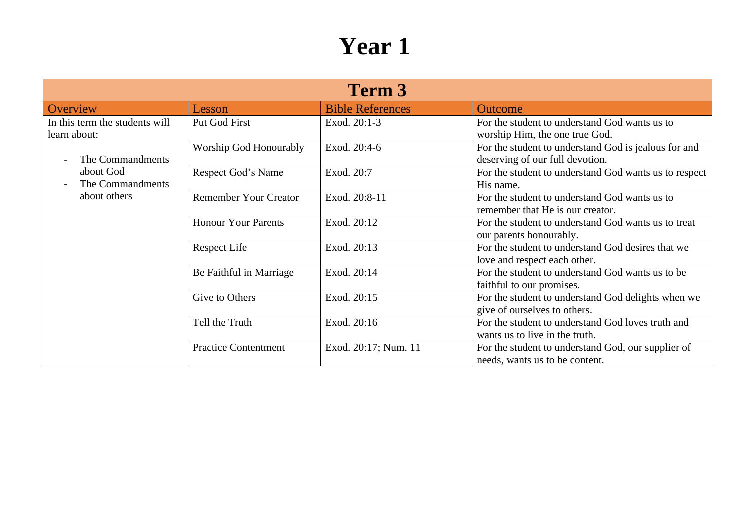| Term 3                                                                                                              |                              |                         |                                                                                         |
|---------------------------------------------------------------------------------------------------------------------|------------------------------|-------------------------|-----------------------------------------------------------------------------------------|
| Overview                                                                                                            | Lesson                       | <b>Bible References</b> | <b>Outcome</b>                                                                          |
| In this term the students will<br>learn about:<br>The Commandments<br>about God<br>The Commandments<br>about others | Put God First                | Exod. 20:1-3            | For the student to understand God wants us to<br>worship Him, the one true God.         |
|                                                                                                                     | Worship God Honourably       | Exod. 20:4-6            | For the student to understand God is jealous for and<br>deserving of our full devotion. |
|                                                                                                                     | Respect God's Name           | Exod. 20:7              | For the student to understand God wants us to respect<br>His name.                      |
|                                                                                                                     | <b>Remember Your Creator</b> | Exod. 20:8-11           | For the student to understand God wants us to<br>remember that He is our creator.       |
|                                                                                                                     | <b>Honour Your Parents</b>   | Exod. 20:12             | For the student to understand God wants us to treat<br>our parents honourably.          |
|                                                                                                                     | <b>Respect Life</b>          | Exod. 20:13             | For the student to understand God desires that we<br>love and respect each other.       |
|                                                                                                                     | Be Faithful in Marriage      | Exod. 20:14             | For the student to understand God wants us to be<br>faithful to our promises.           |
|                                                                                                                     | Give to Others               | Exod. 20:15             | For the student to understand God delights when we<br>give of ourselves to others.      |
|                                                                                                                     | Tell the Truth               | Exod. 20:16             | For the student to understand God loves truth and<br>wants us to live in the truth.     |
|                                                                                                                     | <b>Practice Contentment</b>  | Exod. 20:17; Num. 11    | For the student to understand God, our supplier of<br>needs, wants us to be content.    |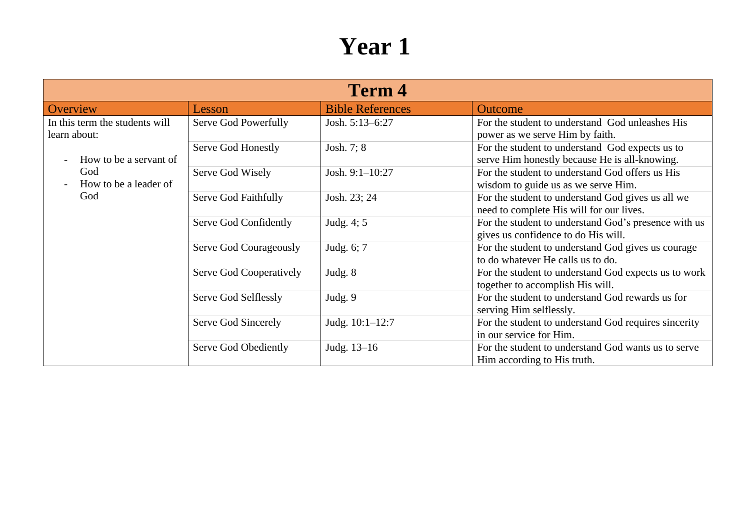| <b>Term 4</b>                                                            |                         |                         |                                                                                                  |
|--------------------------------------------------------------------------|-------------------------|-------------------------|--------------------------------------------------------------------------------------------------|
| Overview                                                                 | Lesson                  | <b>Bible References</b> | Outcome                                                                                          |
| In this term the students will<br>learn about:<br>How to be a servant of | Serve God Powerfully    | Josh. 5:13-6:27         | For the student to understand God unleashes His<br>power as we serve Him by faith.               |
|                                                                          | Serve God Honestly      | Josh. 7; 8              | For the student to understand God expects us to<br>serve Him honestly because He is all-knowing. |
| God<br>How to be a leader of                                             | Serve God Wisely        | Josh. 9:1-10:27         | For the student to understand God offers us His<br>wisdom to guide us as we serve Him.           |
| God                                                                      | Serve God Faithfully    | Josh. 23; 24            | For the student to understand God gives us all we<br>need to complete His will for our lives.    |
|                                                                          | Serve God Confidently   | Judg. 4; 5              | For the student to understand God's presence with us<br>gives us confidence to do His will.      |
|                                                                          | Serve God Courageously  | Judg. 6; 7              | For the student to understand God gives us courage<br>to do whatever He calls us to do.          |
|                                                                          | Serve God Cooperatively | Judg. 8                 | For the student to understand God expects us to work<br>together to accomplish His will.         |
|                                                                          | Serve God Selflessly    | Judg. 9                 | For the student to understand God rewards us for<br>serving Him selflessly.                      |
|                                                                          | Serve God Sincerely     | Judg. 10:1-12:7         | For the student to understand God requires sincerity<br>in our service for Him.                  |
|                                                                          | Serve God Obediently    | Judg. 13-16             | For the student to understand God wants us to serve<br>Him according to His truth.               |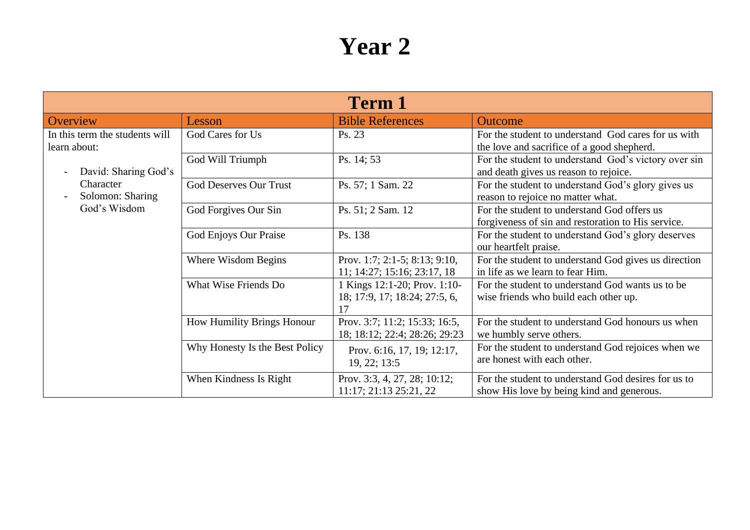| <b>Term 1</b>                                             |                                   |                                                                     |                                                                                                   |  |
|-----------------------------------------------------------|-----------------------------------|---------------------------------------------------------------------|---------------------------------------------------------------------------------------------------|--|
| Overview                                                  | Lesson                            | <b>Bible References</b>                                             | <b>Outcome</b>                                                                                    |  |
| In this term the students will<br>learn about:            | God Cares for Us                  | Ps. 23                                                              | For the student to understand God cares for us with<br>the love and sacrifice of a good shepherd. |  |
| David: Sharing God's<br>$\overline{\phantom{0}}$          | God Will Triumph                  | Ps. 14; 53                                                          | For the student to understand God's victory over sin<br>and death gives us reason to rejoice.     |  |
| Character<br>Solomon: Sharing<br>$\overline{\phantom{0}}$ | <b>God Deserves Our Trust</b>     | Ps. 57; 1 Sam. 22                                                   | For the student to understand God's glory gives us<br>reason to rejoice no matter what.           |  |
| God's Wisdom                                              | God Forgives Our Sin              | Ps. 51; 2 Sam. 12                                                   | For the student to understand God offers us<br>forgiveness of sin and restoration to His service. |  |
|                                                           | God Enjoys Our Praise             | Ps. 138                                                             | For the student to understand God's glory deserves<br>our heartfelt praise.                       |  |
|                                                           | Where Wisdom Begins               | Prov. 1:7; 2:1-5; 8:13; 9:10,<br>11; 14:27; 15:16; 23:17, 18        | For the student to understand God gives us direction<br>in life as we learn to fear Him.          |  |
|                                                           | What Wise Friends Do              | 1 Kings 12:1-20; Prov. 1:10-<br>18; 17:9, 17; 18:24; 27:5, 6,<br>17 | For the student to understand God wants us to be<br>wise friends who build each other up.         |  |
|                                                           | <b>How Humility Brings Honour</b> | Prov. 3:7; 11:2; 15:33; 16:5,<br>18; 18:12; 22:4; 28:26; 29:23      | For the student to understand God honours us when<br>we humbly serve others.                      |  |
|                                                           | Why Honesty Is the Best Policy    | Prov. 6:16, 17, 19; 12:17,<br>19, 22; 13:5                          | For the student to understand God rejoices when we<br>are honest with each other.                 |  |
|                                                           | When Kindness Is Right            | Prov. 3:3, 4, 27, 28; 10:12;<br>$11:17$ ; $21:13$ $25:21$ , $22$    | For the student to understand God desires for us to<br>show His love by being kind and generous.  |  |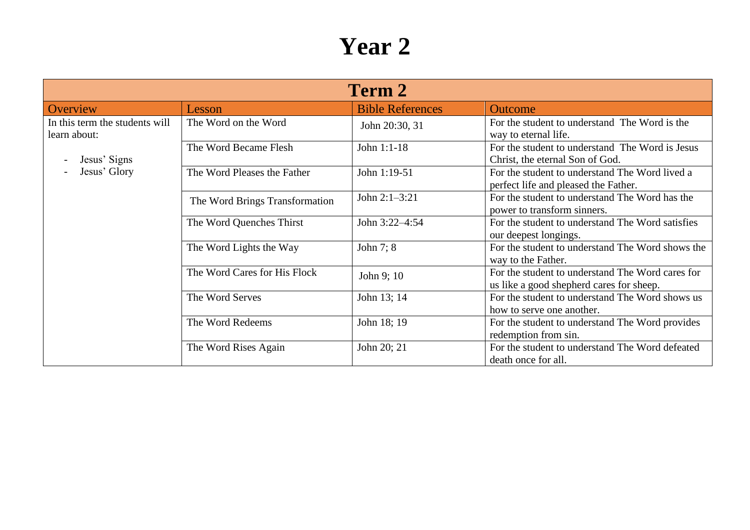| Term 2                                                                         |                                |                         |                                                                                              |
|--------------------------------------------------------------------------------|--------------------------------|-------------------------|----------------------------------------------------------------------------------------------|
| Overview                                                                       | Lesson                         | <b>Bible References</b> | Outcome                                                                                      |
| In this term the students will<br>learn about:<br>Jesus' Signs<br>Jesus' Glory | The Word on the Word           | John 20:30, 31          | For the student to understand The Word is the<br>way to eternal life.                        |
|                                                                                | The Word Became Flesh          | John 1:1-18             | For the student to understand The Word is Jesus<br>Christ, the eternal Son of God.           |
|                                                                                | The Word Pleases the Father    | John 1:19-51            | For the student to understand The Word lived a<br>perfect life and pleased the Father.       |
|                                                                                | The Word Brings Transformation | John 2:1-3:21           | For the student to understand The Word has the<br>power to transform sinners.                |
|                                                                                | The Word Quenches Thirst       | John 3:22-4:54          | For the student to understand The Word satisfies<br>our deepest longings.                    |
|                                                                                | The Word Lights the Way        | John 7; 8               | For the student to understand The Word shows the<br>way to the Father.                       |
|                                                                                | The Word Cares for His Flock   | John 9; 10              | For the student to understand The Word cares for<br>us like a good shepherd cares for sheep. |
|                                                                                | The Word Serves                | John 13; 14             | For the student to understand The Word shows us<br>how to serve one another.                 |
|                                                                                | The Word Redeems               | John 18; 19             | For the student to understand The Word provides<br>redemption from sin.                      |
|                                                                                | The Word Rises Again           | John 20; 21             | For the student to understand The Word defeated<br>death once for all.                       |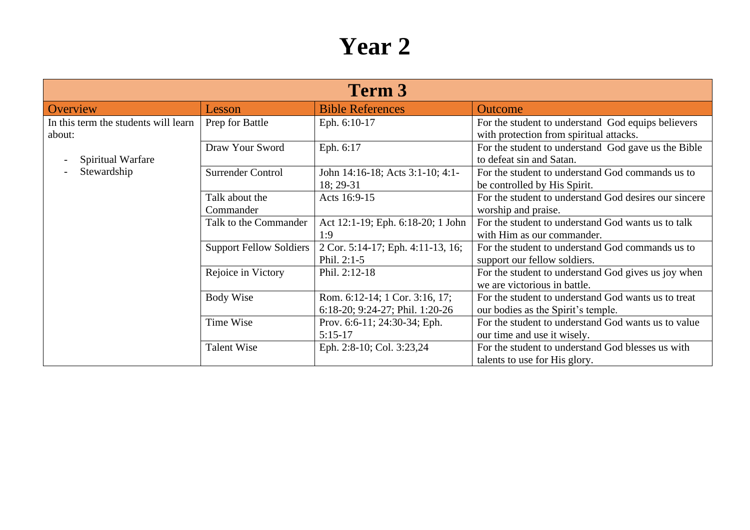| <b>Term 3</b>                                  |                                |                                                                   |                                                                                               |  |
|------------------------------------------------|--------------------------------|-------------------------------------------------------------------|-----------------------------------------------------------------------------------------------|--|
| Overview                                       | Lesson                         | <b>Bible References</b>                                           | <b>Outcome</b>                                                                                |  |
| In this term the students will learn<br>about: | Prep for Battle                | Eph. 6:10-17                                                      | For the student to understand God equips believers<br>with protection from spiritual attacks. |  |
| Spiritual Warfare                              | Draw Your Sword                | Eph. 6:17                                                         | For the student to understand God gave us the Bible<br>to defeat sin and Satan.               |  |
| Stewardship                                    | <b>Surrender Control</b>       | John 14:16-18; Acts 3:1-10; 4:1-<br>18; 29-31                     | For the student to understand God commands us to<br>be controlled by His Spirit.              |  |
|                                                | Talk about the<br>Commander    | Acts 16:9-15                                                      | For the student to understand God desires our sincere<br>worship and praise.                  |  |
|                                                | Talk to the Commander          | Act 12:1-19; Eph. 6:18-20; 1 John<br>1:9                          | For the student to understand God wants us to talk<br>with Him as our commander.              |  |
|                                                | <b>Support Fellow Soldiers</b> | 2 Cor. 5:14-17; Eph. 4:11-13, 16;<br>Phil. $2:1-5$                | For the student to understand God commands us to<br>support our fellow soldiers.              |  |
|                                                | Rejoice in Victory             | Phil. 2:12-18                                                     | For the student to understand God gives us joy when<br>we are victorious in battle.           |  |
|                                                | <b>Body Wise</b>               | Rom. 6:12-14; 1 Cor. 3:16, 17;<br>6:18-20; 9:24-27; Phil. 1:20-26 | For the student to understand God wants us to treat<br>our bodies as the Spirit's temple.     |  |
|                                                | Time Wise                      | Prov. 6:6-11; 24:30-34; Eph.<br>$5:15-17$                         | For the student to understand God wants us to value<br>our time and use it wisely.            |  |
|                                                | <b>Talent Wise</b>             | Eph. 2:8-10; Col. 3:23,24                                         | For the student to understand God blesses us with<br>talents to use for His glory.            |  |